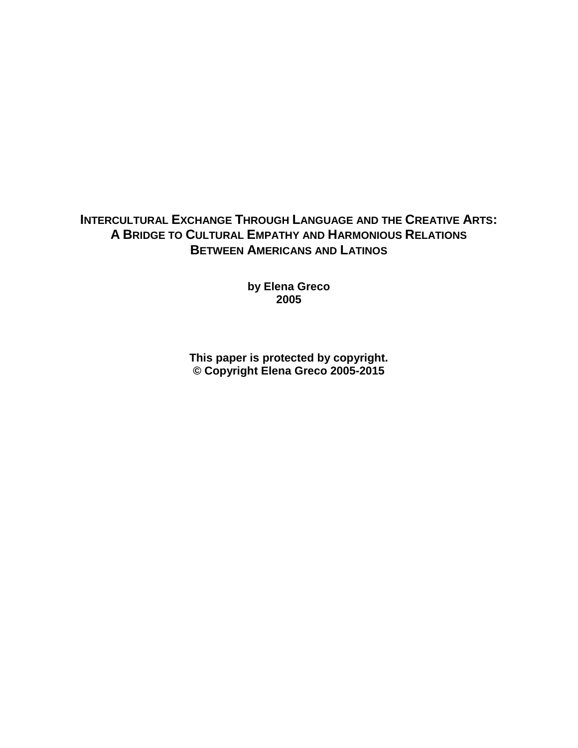# **INTERCULTURAL EXCHANGE THROUGH LANGUAGE AND THE CREATIVE ARTS: A BRIDGE TO CULTURAL EMPATHY AND HARMONIOUS RELATIONS BETWEEN AMERICANS AND LATINOS**

**by Elena Greco 2005**

**This paper is protected by copyright. © Copyright Elena Greco 2005-2015**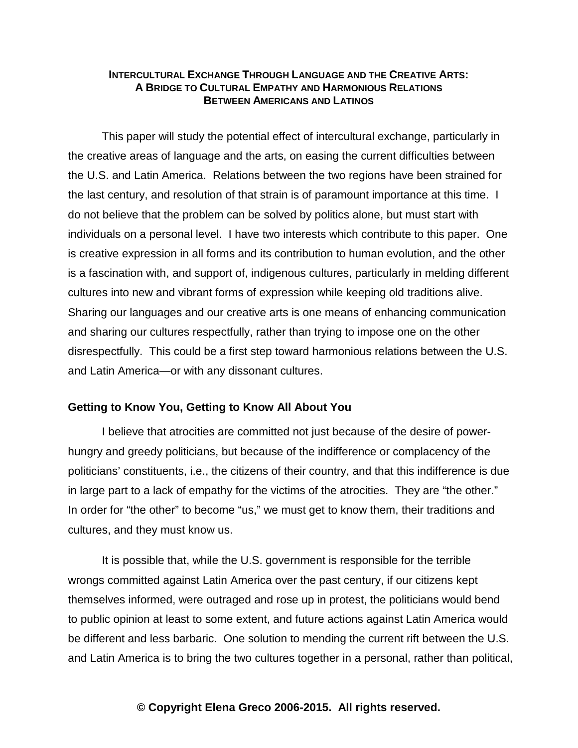# **INTERCULTURAL EXCHANGE THROUGH LANGUAGE AND THE CREATIVE ARTS: A BRIDGE TO CULTURAL EMPATHY AND HARMONIOUS RELATIONS BETWEEN AMERICANS AND LATINOS**

This paper will study the potential effect of intercultural exchange, particularly in the creative areas of language and the arts, on easing the current difficulties between the U.S. and Latin America. Relations between the two regions have been strained for the last century, and resolution of that strain is of paramount importance at this time. I do not be lieve that the problem can be solved by politics alone, but must start with individuals on a personal level. I have two interests which contribute to this paper. One is creative expression in all forms and its contribution to human evolution, and the other is a fascination with, and support of, indigenous cultures, particularly in melding different cultures into new and vibrant forms of expression while keeping old traditions alive. Sharing our languages and our creative arts is one means of enhancing communication and sharing our cultures respectfully, rather than trying to impose one on the other dis respectfully. This could be a first step toward harmonious relations between the U.S. and Latin America— or with any dissonant cultures.

#### **Getting to Know You, Getting to Know All About You**

I believe that atrocities are committed not just because of the desire of powerhungry and greedy politicians, but because of the indifference or complacency of the politicians' constituents, i.e., the citizens of their country, and that this indifference is due in large part to a lack of empathy for the victims of the atrocities. They are "the other." In order for "the other" to become "us," we must get to know them, their traditions and cultures, and they must know us.

It is possible that, while the U.S. government is responsible for the terrible wrongs committed against Latin America over the past century, if our citizens kept themselves informed, were outraged and rose up in protest, the politicians would bend to public opinion at least to some extent, and future actions against Latin America would be different and less barbaric. One solution to mending the current rift between the U.S. and Latin America is to bring the two cultures together in a personal, rather than political,

#### **© Copyright Elena Greco 2006-2015. All rights reserved.**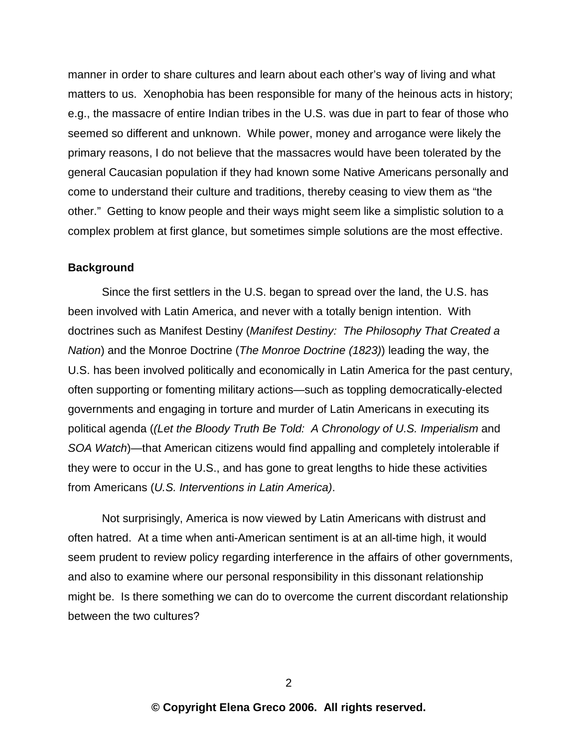manner in order to share cultures and learn about each other's way of living and what matters to us. Xenophobia has been responsible for many of the heinous acts in history; e.g., the massacre of entire Indian tribes in the U.S. was due in part to fear of those who seemed so different and unknown. While power, money and arrogance were likely the primary reasons, I do not believe that the massacres would have been tolerated by the general Caucasian population if they had known some Native Americans personally and come to understand their culture and traditions, thereby ceasing to view them as "the other." Getting to know people and their ways might seem like a simplistic solution to a complex problem at first glance, but sometimes simple solutions are the most effective.

#### **Background**

Since the first settlers in the U.S. began to spread over the land, the U.S. has been involved with Latin America, and never with a totally benign intention. With doctrines such as Manifest Destiny (*Manifest Destiny: The Philosophy That Created a Nation*) and the Monroe Doctrine (*The Monroe Doctrine (1823)*) leading the way, the U.S. has been involved politically and economically in Latin America for the past century, often supporting or fomenting military actions—such as toppling democratically-elected governments and engaging in torture and murder of Latin Americans in executing its political agenda (*(Let the Bloody Truth Be Told: A Chronology of U.S. Imperialism* and *SOA Watch*)— that American citizens would find appalling and completely intolerable if they were to occur in the U.S., and has gone to great lengths to hide these activities from Americans (*U.S. Interventions in Latin America*).

Not surprisingly, America is now viewed by Latin Americans with distrust and often hatred. At a time when anti-American sentiment is at an all-time high, it would seem prudent to review policy regarding interference in the affairs of other governments, and also to examine where our personal responsibility in this dissonant relationship might be. Is there something we can do to overcome the current discordant relationship between the two cultures?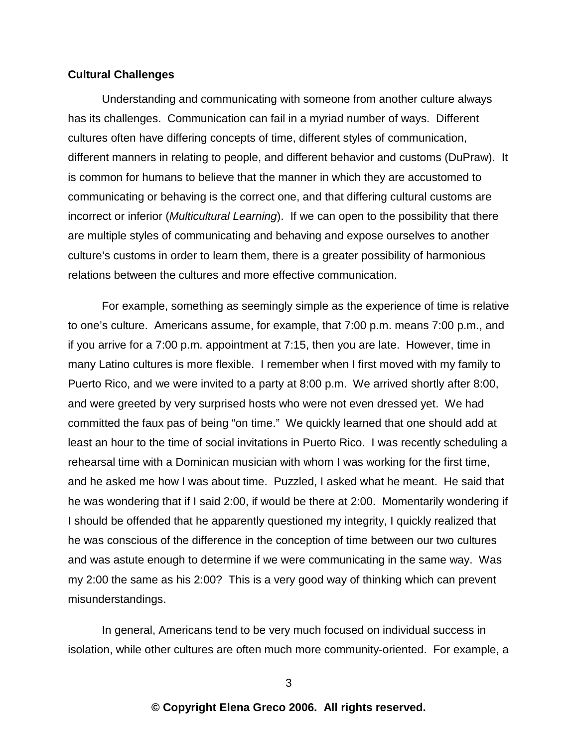#### **Cultural Challenges**

Understanding and communicating with someone from another culture always has its challenges. Communication can fail in a myriad number of ways. Different cultures often have differing concepts of time, different styles of communication, different manners in relating to people, and different behavior and customs (DuPraw). It is common for humans to believe that the manner in which they are accustomed to communicating or behaving is the correct one, and that differing cultural customs are incorrect or inferior (*Multicultural Learning*). If we can open to the possibility that there are multiple styles of communicating and behaving and expose ourselves to another culture's customs in order to learn them, there is a greater possibility of harmonious relations between the cultures and more effective communication.

For example, something as seemingly simple as the experience of time is relative to one's culture. Americans assume, for example, that 7:00 p.m. means 7:00 p.m., and if you arrive for a  $7:00$  p.m. appointment at  $7:15$ , then you are late. However, time in many Latino cultures is more flexible. I remember when I first moved with my family to Puerto Rico, and we were invited to a party at 8:00 p.m. We arrived shortly after 8:00, and were greeted by very surprised hosts who were not even dressed yet. We had committed the faux pas of being "on time." We quickly learned that one should add at least an hour to the time of social invitations in Puerto Rico. I was recently scheduling a rehearsal time with a Dominican musician with whom I was working for the first time, and he asked me how I was about time. Puzzled, I asked what he meant. He said that he was wondering that if I said 2:00, if would be there at 2:00. Momentarily wondering if I should be offended that he apparently questioned my integrity, I quickly realized that he was conscious of the difference in the conception of time between our two cultures and was astute enough to determine if we were communicating in the same way. Was my 2:00 the same as his 2:00? This is a very good way of thinking which can prevent mis understandings.

In general, Americans tend to be very much focused on individual success in isolation, while other cultures are often much more community-oriented. For example, a

3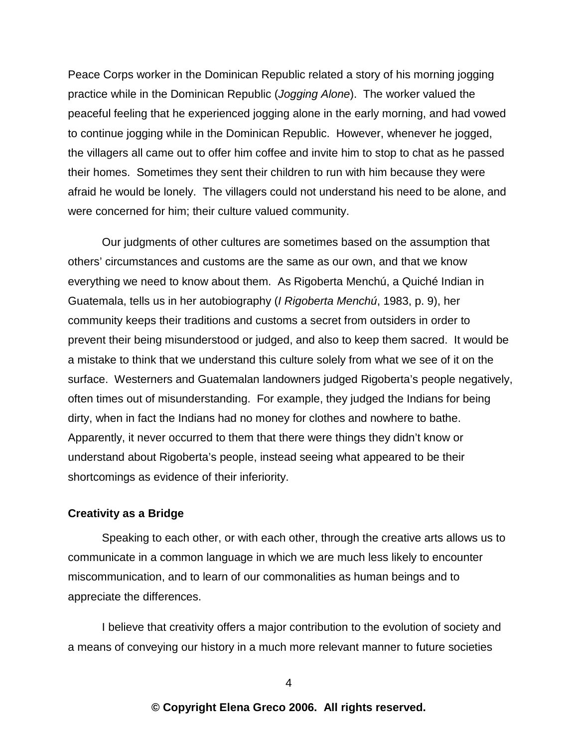Peace Corps worker in the Dominican Republic related a story of his morning jogging practice while in the Dominican Republic (*Jogging Alone*). The worker valued the peaceful feeling that he experienced jogging alone in the early morning, and had vowed to continue jogging while in the Dominican Republic. However, whenever he jogged, the villagers all came out to offer him coffee and invite him to stop to chat as he passed their homes. Sometimes they sent their children to run with him because they were afraid he would be lonely. The villagers could not understand his need to be alone, and were concerned for him; their culture valued community.

Our judgments of other cultures are sometimes based on the as sumption that others' circumstances and customs are the same as our own, and that we know e verything we need to know about them. As Rigoberta Menchu, a Quiche Indian in Guatemala, tells us in her autobiography (*I Rigoberta Menchú*, 1983, p. 9), her community keeps their traditions and customs a secret from outsiders in order to prevent their being misunderstood or judged, and also to keep them sacred. It would be a mistake to think that we understand this culture solely from what we see of it on the surface. Westerners and Guatemalan landowners judged Rigoberta's people negatively, often times out of misunderstanding. For example, they judged the Indians for being dirty, when in fact the Indians had no money for clothes and nowhere to bathe. Apparently, it never occurred to them that there were things they didn't know or understand about Rigoberta's people, instead seeing what appeared to be their shortcomings as evidence of their inferiority.

#### **Creativity as a Bridge**

Speaking to each other, or with each other, through the creative arts allows us to communicate in a common language in which we are much less likely to encounter mis communication, and to learn of our commonalities as human beings and to appreciate the differences.

I believe that creativity offers a major contribution to the evolution of society and a means of conveying our history in a much more relevant manner to future societies

4

# **© Copyright Elena Greco 2006. All rights reserved.**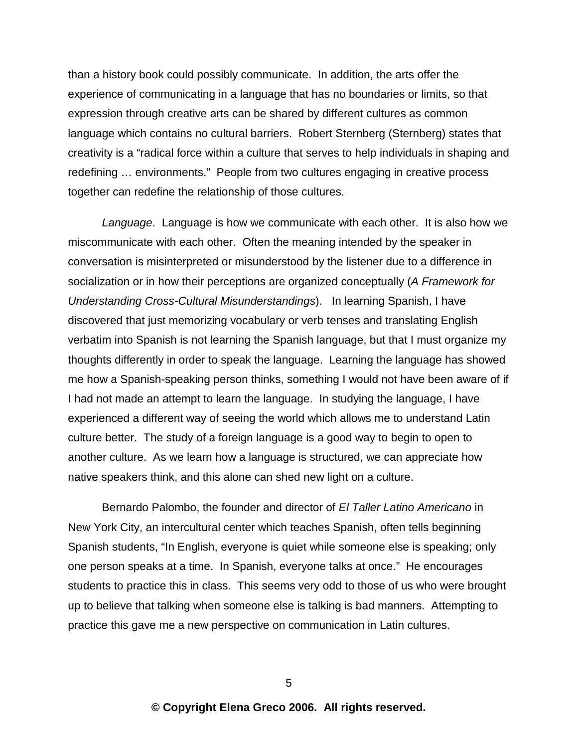than a history book could possibly communicate. In addition, the arts offer the experience of communicating in a language that has no boundaries or limits, so that expression through creative arts can be shared by different cultures as common language which contains no cultural barriers. Robert Sternberg (Sternberg) states that creativity is a "radical force within a culture that serves to help individuals in shaping and red e fining ... environments." People from two cultures engaging in creative process toge ther can redefine the relationship of those cultures.

*Language*. Language is how we communicate with each other. It is also how we mis communicate with each other. Often the meaning intended by the speaker in conversation is misinterpreted or misunderstood by the listener due to a difference in socialization or in how their perceptions are organized conceptually (*A Framework for Understanding Cross-Cultural Misunderstandings*). In learning Spanish, I have discovered that just memorizing vocabulary or verb tenses and translating English verbatim into Spanish is not learning the Spanish language, but that I must organize my thoughts differently in order to speak the language. Learning the language has showed me how a Spanish-speaking person thinks, something I would not have been aware of if I had not made an attempt to learn the language. In studying the language, I have experienced a different way of seeing the world which allows me to understand Latin culture better. The study of a foreign language is a good way to begin to open to another culture. As we learn how a language is structured, we can appreciate how native speakers think, and this alone can shed new light on a culture.

Bernardo Palombo, the founder and director of El Taller Latino Americano in New York City, an intercultural center which teaches Spanish, often tells beginning Spanish students, "In English, everyone is quiet while someone else is speaking; only one person speaks at a time. In Spanish, everyone talks at once." He encourages students to practice this in class. This seems very odd to those of us who were brought up to believe that talking when someone else is talking is bad manners. Attempting to practice this gave me a new perspective on communication in Latin cultures.

5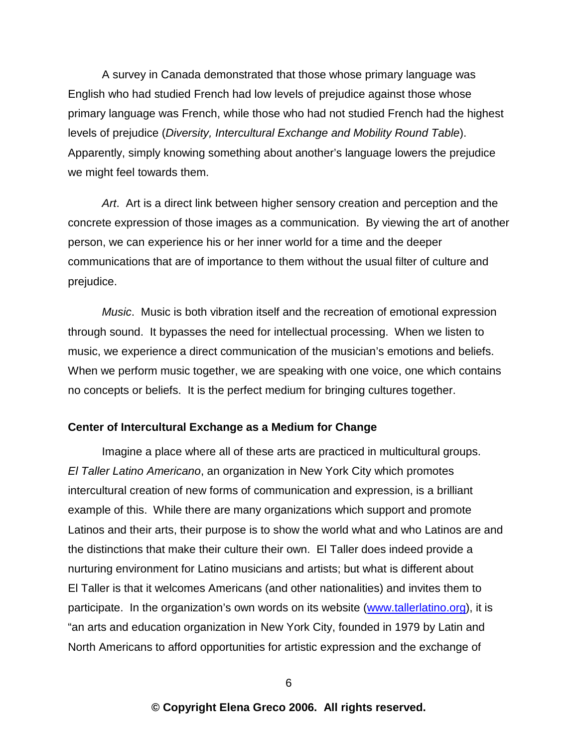A survey in Canada demonstrated that those whose primary language was English who had studied French had low levels of prejudice against those whose primary language was French, while those who had not studied French had the highest levels of prejudice (*Diversity, Intercultural Exchange and Mobility Round Table*). Apparently, simply knowing something about another's language lowers the prejudice we might feel towards them.

Art. Art is a direct link between higher sensory creation and perception and the concrete expression of those images as a communication. By viewing the art of another person, we can experience his or her inner world for a time and the deeper communications that are of importance to them without the usual filter of culture and prejudice.

*Music*. Music is both vibration itself and the recreation of emotional expression through sound. It bypasses the need for intellectual processing. When we listen to music, we experience a direct communication of the musician's emotions and beliefs. When we perform music together, we are speaking with one voice, one which contains no concepts or beliefs. It is the perfect medium for bringing cultures together.

#### **Center of Intercultural Exchange as a Medium for Change**

Imagine a place where all of these arts are practiced in multicultural groups. *El Taller Latino Americano*, an organization in New York City which promotes intercultural creation of new forms of communication and expression, is a brilliant example of this. While there are many organizations which support and promote Latinos and their arts, their purpose is to show the world what and who Latinos are and the distinctions that make their culture their own. El Taller does indeed provide a nurturing environment for Latino musicians and artists; but what is different about El Taller is that it welcomes Americans (and other nationalities) and invites them to participate. In the organization's own words on its website (www.tallerlatino.org), it is "an arts and education organization in New York City, founded in 1979 by Latin and North Americans to afford opportunities for artistic expression and the exchange of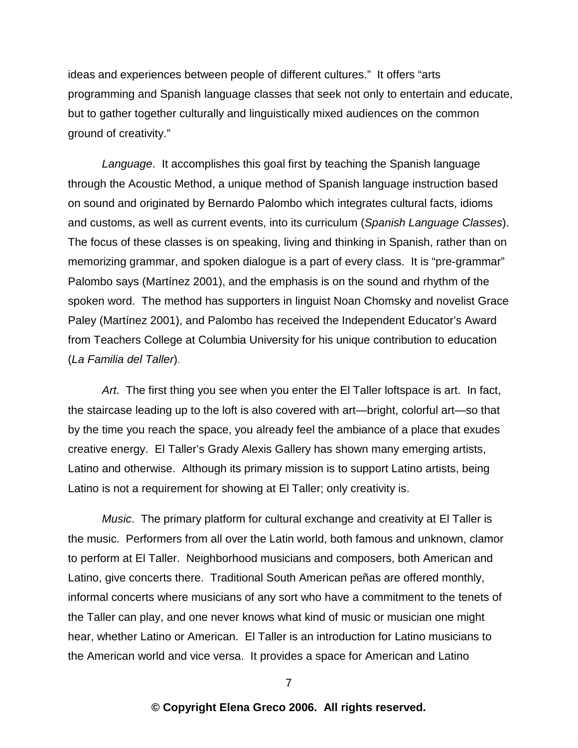ideas and experiences between people of different cultures." It offers "arts programming and Spanish language classes that seek not only to entertain and educate, but to gather together culturally and linguistically mixed audiences on the common ground of creativity."

*Language*. It accomplishes this goal first by teaching the Spanish language through the Acoustic Method, a unique method of Spanish language instruction based on sound and originated by Bernardo Palombo which integrates cultural facts, idioms and customs, as well as current events, into its curriculum (*Spanish Language Classes*). The focus of these classes is on speaking, living and thinking in Spanish, rather than on me morizing grammar, and spoken dialogue is a part of every class. It is "pre-grammar" Palombo says (Martínez 2001), and the emphasis is on the sound and rhythm of the spoken word. The method has supporters in linguist Noan Chomsky and novelist Grace Paley (Martínez 2001), and Palombo has received the Independent Educator's Award from Teachers College at Columbia University for his unique contribution to education (*La Familia del Taller*).

*Art*. The first thing you see when you enter the El Taller loftspace is art. In fact, the staircase leading up to the loft is also covered with art—bright, colorful art—so that by the time you reach the space, you already feel the ambiance of a place that exudes creative energy. El Taller's Grady Alexis Gallery has shown many emerging artists, Latino and otherwise. Although its primary mission is to support Latino artists, being Latino is not a requirement for showing at El Taller; only creativity is.

*Music*. The primary platform for cultural exchange and creativity at El Taller is the music. Performers from all over the Latin world, both famous and unknown, clamor to perform at El Taller. Neighborhood musicians and composers, both American and Latino, give concerts there. Traditional South American peñas are offered monthly, informal concerts where musicians of any sort who have a commitment to the tenets of the Taller can play, and one never knows what kind of music or musician one might hear, whether Latino or American. El Taller is an introduction for Latino musicians to the American world and vice versa. It provides a space for American and Latino

7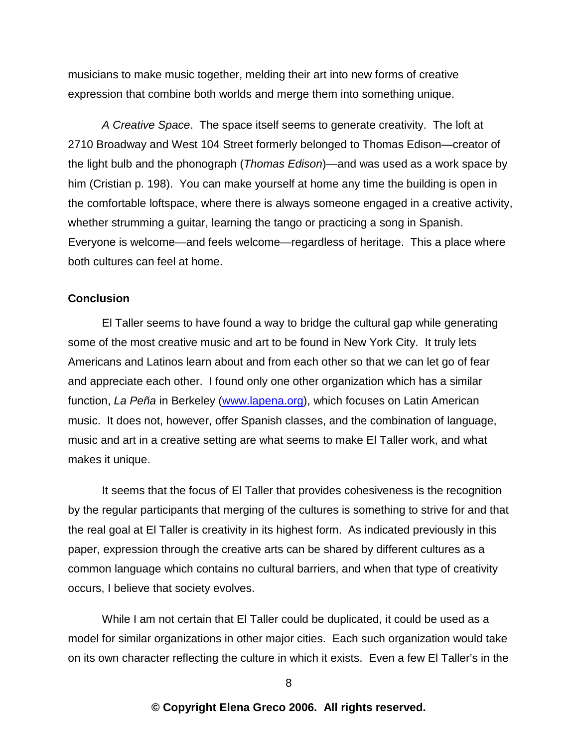musicians to make music together, melding their art into new forms of creative expression that combine both worlds and merge them into something unique.

A Creative Space. The space itself seems to generate creativity. The loft at 2710 Broadway and West 104 Street formerly belonged to Thomas Edison-creator of the light bulb and the phonograph (*Thomas Edison*)— and was used as a work space by him (Cristian p. 198). You can make yourself at home any time the building is open in the comfortable loftspace, where there is always someone engaged in a creative activity, wh e the rs trumming a guitar, learning the tango or practicing a song in Spanish. Everyone is welcome—and feels welcome—regardless of heritage. This a place where both cultures can feel at home.

### **Conclusion**

El Taller seems to have found a way to bridge the cultural gap while generating some of the most creative music and art to be found in New York City. It truly lets Americans and Latinos learn about and from each other so that we can let go of fear and appreciate each other. I found only one other organization which has a similar function, La Peña in Berkeley (www.lapena.org), which focuses on Latin American music. It does not, however, offer Spanish classes, and the combination of language, music and art in a creative setting are what seems to make EI Taller work, and what makes it unique.

It seems that the focus of EI Taller that provides cohesiveness is the recognition by the regular participants that merging of the cultures is something to strive for and that the real goal at El Taller is creativity in its highest form. As indicated previously in this paper, expression through the creative arts can be shared by different cultures as a common language which contains no cultural barriers, and when that type of creativity occurs, I believe that society evolves.

While I am not certain that El Taller could be duplicated, it could be used as a model for similar organizations in other major cities. Each such organization would take on its own character reflecting the culture in which it exists. Even a few El Taller's in the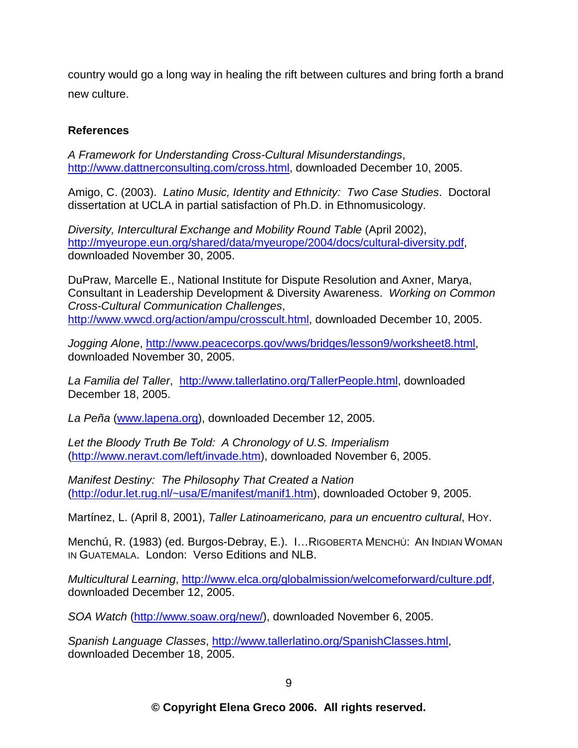country would go a long way in healing the rift between cultures and bring forth a brand new culture.

# **References**

*A Framework for Understanding Cross-Cultural Misunderstandings*, http://www.dattnerconsulting.com/cross.html, downloaded December 10, 2005.

Amigo, C. (2003). *Latino Music, Identity and Ethnicity: Two Case Studies*. Doctoral dissertation at UCLA in partial satisfaction of Ph.D. in Ethnomusicology.

*Diversity, Intercultural Exchange and Mobility Round Table (April 2002),* http://myeurope.eun.org/shared/data/myeurope/2004/docs/cultural-diversity.pdf, downloaded November 30, 2005.

DuPraw, Marcelle E., National Institute for Dispute Resolution and Axner, Marya, Consultant in Leadership Development & Diversity Awareness. Working on Common *Cross-Cultural Communication Challenges*, http://www.wwcd.org/action/ampu/crosscult.html, downloaded December 10, 2005.

*Jogging Alone*, http://www.peacecorps.gov/wws/bridges/lesson9/works heet8.html, downloaded November 30, 2005.

La Familia del Taller, http://www.tallerlatino.org/TallerPeople.html, downloaded December 18, 2005.

La Peña (www.lapena.org), downloaded December 12, 2005.

*Let the Bloody Truth Be Told: A Chronology of U.S. Imperialism* (http://www.neravt.com/left/invade.htm), downloaded November 6, 2005.

*Manifest Destiny: The Philosophy That Created a Nation* (http://odur.let.rug.nl/~usa/E/manifest/manif1.htm), downloaded October 9, 2005.

Martínez, L. (April 8, 2001), *Taller Latinoamericano, para un encuentro cultural*, Hoy.

Menchú, R. (1983) (ed. Burgos-Debray, E.). I... RIGOBERTA MENCHÚ: AN INDIAN W O MAN IN GUATEMALA. London: Verso Editions and NLB.

*Multicultural Learning, http://www.elca.org/globalmission/welcomeforward/culture.pdf,* downloaded December 12, 2005.

*SOA Watch* (http://www.soaw.org/new/), downloaded November 6, 2005.

*Spanish Language Classes, http://www.tallerlatino.org/SpanishClasses.html,* downloaded December 18, 2005.